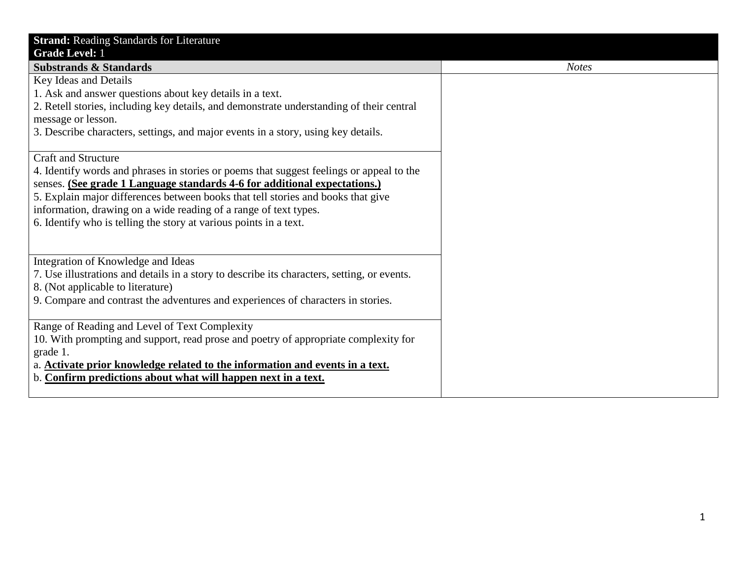| <b>Strand: Reading Standards for Literature</b>                                             |              |
|---------------------------------------------------------------------------------------------|--------------|
| <b>Grade Level: 1</b>                                                                       |              |
| <b>Substrands &amp; Standards</b>                                                           | <b>Notes</b> |
| Key Ideas and Details                                                                       |              |
| 1. Ask and answer questions about key details in a text.                                    |              |
| 2. Retell stories, including key details, and demonstrate understanding of their central    |              |
| message or lesson.                                                                          |              |
| 3. Describe characters, settings, and major events in a story, using key details.           |              |
|                                                                                             |              |
| <b>Craft and Structure</b>                                                                  |              |
| 4. Identify words and phrases in stories or poems that suggest feelings or appeal to the    |              |
| senses. (See grade 1 Language standards 4-6 for additional expectations.)                   |              |
| 5. Explain major differences between books that tell stories and books that give            |              |
| information, drawing on a wide reading of a range of text types.                            |              |
| 6. Identify who is telling the story at various points in a text.                           |              |
|                                                                                             |              |
|                                                                                             |              |
| Integration of Knowledge and Ideas                                                          |              |
| 7. Use illustrations and details in a story to describe its characters, setting, or events. |              |
| 8. (Not applicable to literature)                                                           |              |
| 9. Compare and contrast the adventures and experiences of characters in stories.            |              |
|                                                                                             |              |
| Range of Reading and Level of Text Complexity                                               |              |
| 10. With prompting and support, read prose and poetry of appropriate complexity for         |              |
| grade 1.                                                                                    |              |
| a. Activate prior knowledge related to the information and events in a text.                |              |
| b. Confirm predictions about what will happen next in a text.                               |              |
|                                                                                             |              |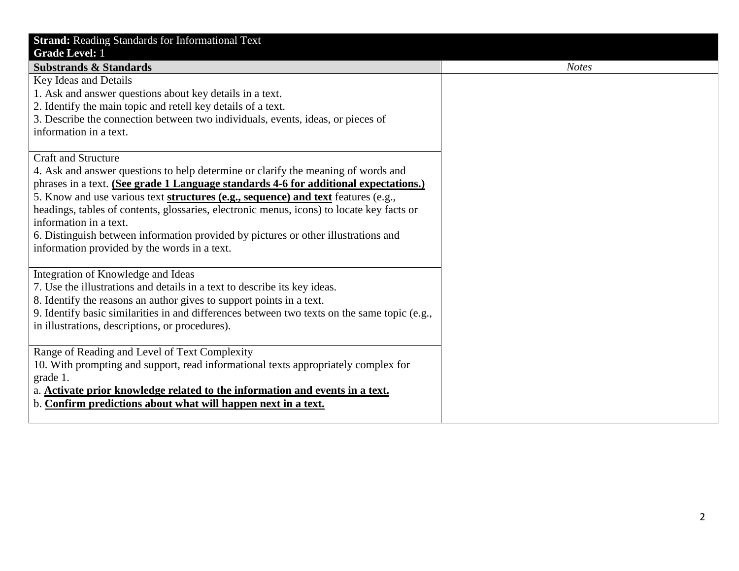| <b>Strand: Reading Standards for Informational Text</b><br><b>Grade Level: 1</b>                                                                                                                                                                                                                                                                                                                                                                                                                                                                          |              |
|-----------------------------------------------------------------------------------------------------------------------------------------------------------------------------------------------------------------------------------------------------------------------------------------------------------------------------------------------------------------------------------------------------------------------------------------------------------------------------------------------------------------------------------------------------------|--------------|
| <b>Substrands &amp; Standards</b>                                                                                                                                                                                                                                                                                                                                                                                                                                                                                                                         | <b>Notes</b> |
| Key Ideas and Details<br>1. Ask and answer questions about key details in a text.<br>2. Identify the main topic and retell key details of a text.<br>3. Describe the connection between two individuals, events, ideas, or pieces of<br>information in a text.                                                                                                                                                                                                                                                                                            |              |
| <b>Craft and Structure</b><br>4. Ask and answer questions to help determine or clarify the meaning of words and<br>phrases in a text. (See grade 1 Language standards 4-6 for additional expectations.)<br>5. Know and use various text structures (e.g., sequence) and text features (e.g.,<br>headings, tables of contents, glossaries, electronic menus, icons) to locate key facts or<br>information in a text.<br>6. Distinguish between information provided by pictures or other illustrations and<br>information provided by the words in a text. |              |
| Integration of Knowledge and Ideas<br>7. Use the illustrations and details in a text to describe its key ideas.<br>8. Identify the reasons an author gives to support points in a text.<br>9. Identify basic similarities in and differences between two texts on the same topic (e.g.,<br>in illustrations, descriptions, or procedures).                                                                                                                                                                                                                |              |
| Range of Reading and Level of Text Complexity<br>10. With prompting and support, read informational texts appropriately complex for<br>grade 1.<br>a. Activate prior knowledge related to the information and events in a text.<br>b. Confirm predictions about what will happen next in a text.                                                                                                                                                                                                                                                          |              |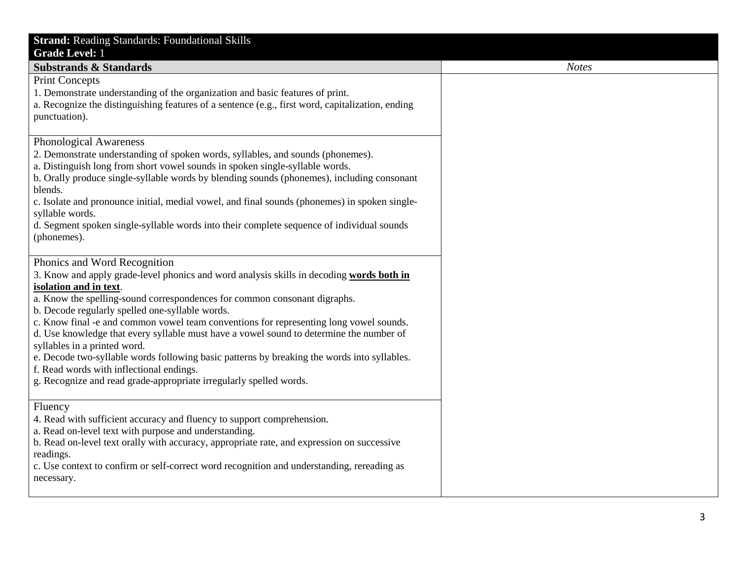| <b>Strand: Reading Standards: Foundational Skills</b>                                                                                                                                                                                                                                                                                                                                                                                                                                                                                                                                                                                                                                                                    |              |
|--------------------------------------------------------------------------------------------------------------------------------------------------------------------------------------------------------------------------------------------------------------------------------------------------------------------------------------------------------------------------------------------------------------------------------------------------------------------------------------------------------------------------------------------------------------------------------------------------------------------------------------------------------------------------------------------------------------------------|--------------|
| <b>Grade Level: 1</b>                                                                                                                                                                                                                                                                                                                                                                                                                                                                                                                                                                                                                                                                                                    |              |
| <b>Substrands &amp; Standards</b>                                                                                                                                                                                                                                                                                                                                                                                                                                                                                                                                                                                                                                                                                        | <b>Notes</b> |
| <b>Print Concepts</b><br>1. Demonstrate understanding of the organization and basic features of print.<br>a. Recognize the distinguishing features of a sentence (e.g., first word, capitalization, ending<br>punctuation).                                                                                                                                                                                                                                                                                                                                                                                                                                                                                              |              |
| Phonological Awareness<br>2. Demonstrate understanding of spoken words, syllables, and sounds (phonemes).<br>a. Distinguish long from short vowel sounds in spoken single-syllable words.<br>b. Orally produce single-syllable words by blending sounds (phonemes), including consonant<br>blends.<br>c. Isolate and pronounce initial, medial vowel, and final sounds (phonemes) in spoken single-<br>syllable words.<br>d. Segment spoken single-syllable words into their complete sequence of individual sounds<br>(phonemes).                                                                                                                                                                                       |              |
| Phonics and Word Recognition<br>3. Know and apply grade-level phonics and word analysis skills in decoding words both in<br>isolation and in text.<br>a. Know the spelling-sound correspondences for common consonant digraphs.<br>b. Decode regularly spelled one-syllable words.<br>c. Know final -e and common vowel team conventions for representing long vowel sounds.<br>d. Use knowledge that every syllable must have a vowel sound to determine the number of<br>syllables in a printed word.<br>e. Decode two-syllable words following basic patterns by breaking the words into syllables.<br>f. Read words with inflectional endings.<br>g. Recognize and read grade-appropriate irregularly spelled words. |              |
| Fluency<br>4. Read with sufficient accuracy and fluency to support comprehension.<br>a. Read on-level text with purpose and understanding.<br>b. Read on-level text orally with accuracy, appropriate rate, and expression on successive<br>readings.<br>c. Use context to confirm or self-correct word recognition and understanding, rereading as<br>necessary.                                                                                                                                                                                                                                                                                                                                                        |              |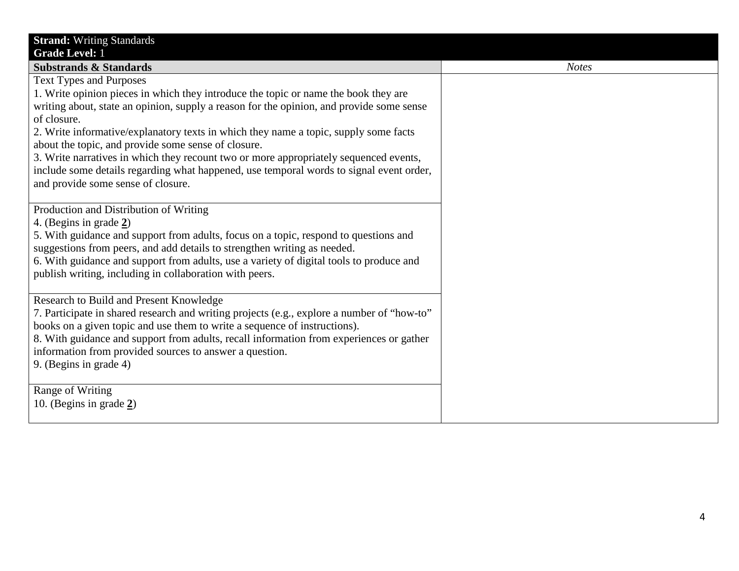| <b>Strand: Writing Standards</b><br><b>Grade Level: 1</b>                                                                                                                                                                                                                                                                                                                                                                                                                                                                                                                                                 |              |
|-----------------------------------------------------------------------------------------------------------------------------------------------------------------------------------------------------------------------------------------------------------------------------------------------------------------------------------------------------------------------------------------------------------------------------------------------------------------------------------------------------------------------------------------------------------------------------------------------------------|--------------|
| <b>Substrands &amp; Standards</b>                                                                                                                                                                                                                                                                                                                                                                                                                                                                                                                                                                         | <b>Notes</b> |
| <b>Text Types and Purposes</b><br>1. Write opinion pieces in which they introduce the topic or name the book they are<br>writing about, state an opinion, supply a reason for the opinion, and provide some sense<br>of closure.<br>2. Write informative/explanatory texts in which they name a topic, supply some facts<br>about the topic, and provide some sense of closure.<br>3. Write narratives in which they recount two or more appropriately sequenced events,<br>include some details regarding what happened, use temporal words to signal event order,<br>and provide some sense of closure. |              |
| Production and Distribution of Writing<br>4. (Begins in grade 2)<br>5. With guidance and support from adults, focus on a topic, respond to questions and<br>suggestions from peers, and add details to strengthen writing as needed.<br>6. With guidance and support from adults, use a variety of digital tools to produce and<br>publish writing, including in collaboration with peers.                                                                                                                                                                                                                |              |
| Research to Build and Present Knowledge<br>7. Participate in shared research and writing projects (e.g., explore a number of "how-to"<br>books on a given topic and use them to write a sequence of instructions).<br>8. With guidance and support from adults, recall information from experiences or gather<br>information from provided sources to answer a question.<br>9. (Begins in grade 4)                                                                                                                                                                                                        |              |
| Range of Writing<br>10. (Begins in grade $2$ )                                                                                                                                                                                                                                                                                                                                                                                                                                                                                                                                                            |              |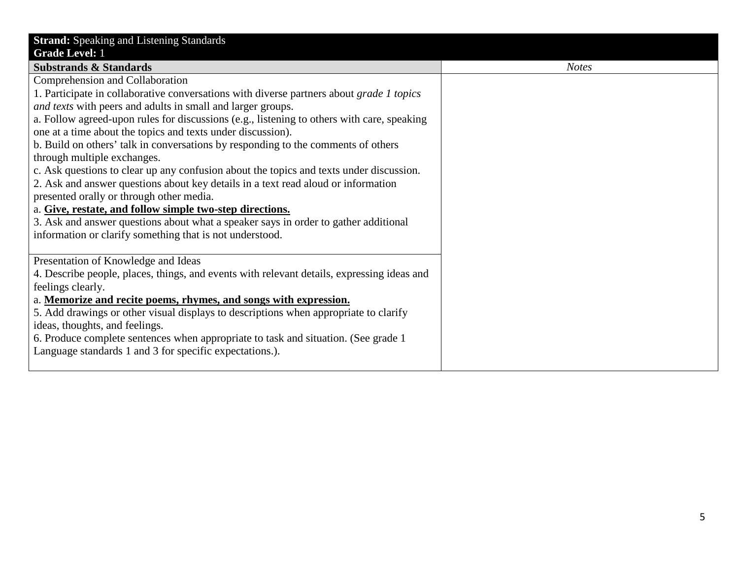| <b>Strand:</b> Speaking and Listening Standards                                            |  |
|--------------------------------------------------------------------------------------------|--|
| <b>Grade Level: 1</b>                                                                      |  |
| <b>Substrands &amp; Standards</b>                                                          |  |
| Comprehension and Collaboration                                                            |  |
| 1. Participate in collaborative conversations with diverse partners about grade 1 topics   |  |
| and texts with peers and adults in small and larger groups.                                |  |
| a. Follow agreed-upon rules for discussions (e.g., listening to others with care, speaking |  |
| one at a time about the topics and texts under discussion).                                |  |
| b. Build on others' talk in conversations by responding to the comments of others          |  |
| through multiple exchanges.                                                                |  |
| c. Ask questions to clear up any confusion about the topics and texts under discussion.    |  |
| 2. Ask and answer questions about key details in a text read aloud or information          |  |
| presented orally or through other media.                                                   |  |
| a. Give, restate, and follow simple two-step directions.                                   |  |
| 3. Ask and answer questions about what a speaker says in order to gather additional        |  |
| information or clarify something that is not understood.                                   |  |
|                                                                                            |  |
| Presentation of Knowledge and Ideas                                                        |  |
| 4. Describe people, places, things, and events with relevant details, expressing ideas and |  |
| feelings clearly.                                                                          |  |
| a. Memorize and recite poems, rhymes, and songs with expression.                           |  |
| 5. Add drawings or other visual displays to descriptions when appropriate to clarify       |  |
| ideas, thoughts, and feelings.                                                             |  |
| 6. Produce complete sentences when appropriate to task and situation. (See grade 1)        |  |
| Language standards 1 and 3 for specific expectations.).                                    |  |
|                                                                                            |  |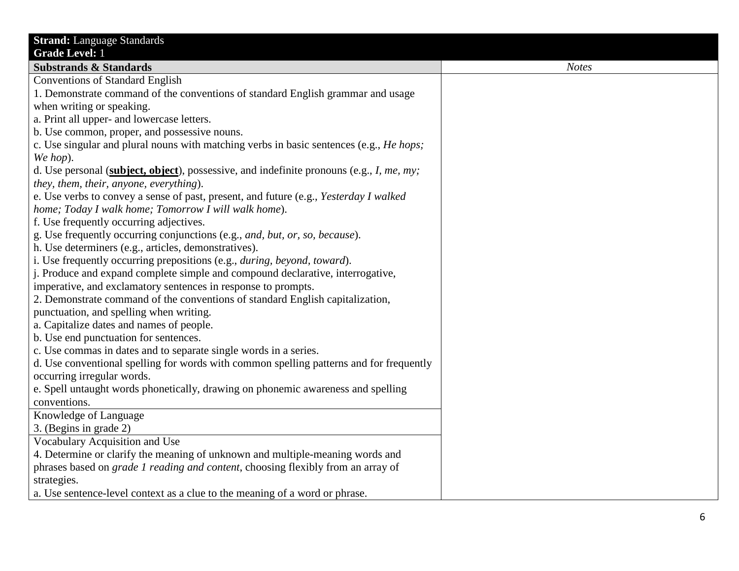| <b>Strand:</b> Language Standards                                                               |              |
|-------------------------------------------------------------------------------------------------|--------------|
| <b>Grade Level: 1</b>                                                                           |              |
| <b>Substrands &amp; Standards</b>                                                               | <b>Notes</b> |
| <b>Conventions of Standard English</b>                                                          |              |
| 1. Demonstrate command of the conventions of standard English grammar and usage                 |              |
| when writing or speaking.                                                                       |              |
| a. Print all upper- and lowercase letters.                                                      |              |
| b. Use common, proper, and possessive nouns.                                                    |              |
| c. Use singular and plural nouns with matching verbs in basic sentences (e.g., <i>He hops</i> ; |              |
| We hop).                                                                                        |              |
| d. Use personal (subject, object), possessive, and indefinite pronouns (e.g., I, me, my;        |              |
| they, them, their, anyone, everything).                                                         |              |
| e. Use verbs to convey a sense of past, present, and future (e.g., Yesterday I walked           |              |
| home; Today I walk home; Tomorrow I will walk home).                                            |              |
| f. Use frequently occurring adjectives.                                                         |              |
| g. Use frequently occurring conjunctions (e.g., and, but, or, so, because).                     |              |
| h. Use determiners (e.g., articles, demonstratives).                                            |              |
| i. Use frequently occurring prepositions (e.g., <i>during, beyond, toward</i> ).                |              |
| j. Produce and expand complete simple and compound declarative, interrogative,                  |              |
| imperative, and exclamatory sentences in response to prompts.                                   |              |
| 2. Demonstrate command of the conventions of standard English capitalization,                   |              |
| punctuation, and spelling when writing.                                                         |              |
| a. Capitalize dates and names of people.                                                        |              |
| b. Use end punctuation for sentences.                                                           |              |
| c. Use commas in dates and to separate single words in a series.                                |              |
| d. Use conventional spelling for words with common spelling patterns and for frequently         |              |
| occurring irregular words.                                                                      |              |
| e. Spell untaught words phonetically, drawing on phonemic awareness and spelling                |              |
| conventions.                                                                                    |              |
| Knowledge of Language                                                                           |              |
| 3. (Begins in grade 2)                                                                          |              |
| Vocabulary Acquisition and Use                                                                  |              |
| 4. Determine or clarify the meaning of unknown and multiple-meaning words and                   |              |
| phrases based on <i>grade 1 reading and content</i> , choosing flexibly from an array of        |              |
| strategies.                                                                                     |              |
| a. Use sentence-level context as a clue to the meaning of a word or phrase.                     |              |